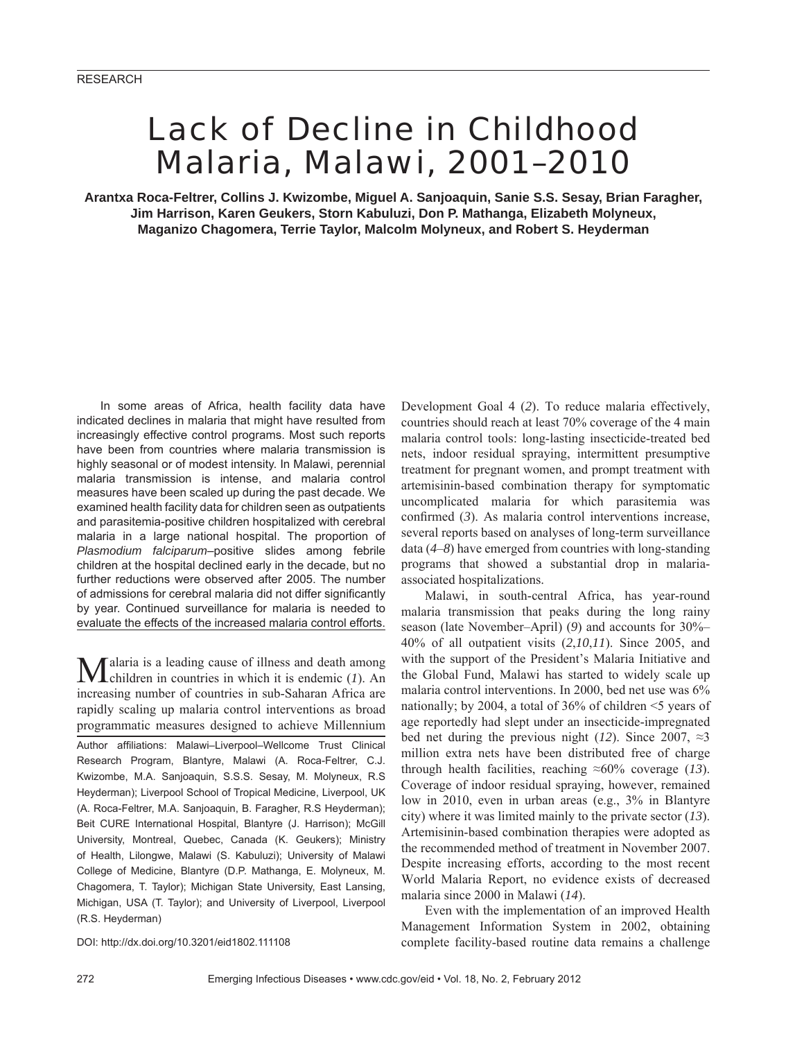# Lack of Decline in Childhood Malaria, Malawi, 2001–2010

**Arantxa Roca-Feltrer, Collins J. Kwizombe, Miguel A. Sanjoaquin, Sanie S.S. Sesay, Brian Faragher, Jim Harrison, Karen Geukers, Storn Kabuluzi, Don P. Mathanga, Elizabeth Molyneux, Maganizo Chagomera, Terrie Taylor, Malcolm Molyneux, and Robert S. Heyderman**

In some areas of Africa, health facility data have indicated declines in malaria that might have resulted from increasingly effective control programs. Most such reports have been from countries where malaria transmission is highly seasonal or of modest intensity. In Malawi, perennial malaria transmission is intense, and malaria control measures have been scaled up during the past decade. We examined health facility data for children seen as outpatients and parasitemia-positive children hospitalized with cerebral malaria in a large national hospital. The proportion of *Plasmodium falciparum*–positive slides among febrile children at the hospital declined early in the decade, but no further reductions were observed after 2005. The number of admissions for cerebral malaria did not differ significantly by year. Continued surveillance for malaria is needed to evaluate the effects of the increased malaria control efforts.

**Malaria** is a leading cause of illness and death among children in countries in which it is endemic (*1*). An increasing number of countries in sub-Saharan Africa are rapidly scaling up malaria control interventions as broad programmatic measures designed to achieve Millennium Author affiliations: Malawi-Liverpool-Wellcome Trust Clinical Research Program, Blantyre, Malawi (A. Roca-Feltrer, C.J. Kwizombe, M.A. Sanjoaquin, S.S.S. Sesay, M. Molyneux, R.S Heyderman); Liverpool School of Tropical Medicine, Liverpool, UK (A. Roca-Feltrer, M.A. Sanjoaquin, B. Faragher, R.S Heyderman); Beit CURE International Hospital, Blantyre (J. Harrison); McGill University, Montreal, Quebec, Canada (K. Geukers); Ministry of Health, Lilongwe, Malawi (S. Kabuluzi); University of Malawi College of Medicine, Blantyre (D.P. Mathanga, E. Molyneux, M. Chagomera, T. Taylor); Michigan State University, East Lansing, Michigan, USA (T. Taylor); and University of Liverpool, Liverpool (R.S. Heyderman)

DOI: http://dx.doi.org/10.3201/eid1802.111108

Development Goal 4 (*2*). To reduce malaria effectively, countries should reach at least 70% coverage of the 4 main malaria control tools: long-lasting insecticide-treated bed nets, indoor residual spraying, intermittent presumptive treatment for pregnant women, and prompt treatment with artemisinin-based combination therapy for symptomatic uncomplicated malaria for which parasitemia was confirmed  $(3)$ . As malaria control interventions increase, several reports based on analyses of long-term surveillance data (*4*–*8*) have emerged from countries with long-standing programs that showed a substantial drop in malariaassociated hospitalizations.

Malawi, in south-central Africa, has year-round malaria transmission that peaks during the long rainy season (late November–April) (*9*) and accounts for 30%– 40% of all outpatient visits (*2*,*10*,*11*). Since 2005, and with the support of the President's Malaria Initiative and the Global Fund, Malawi has started to widely scale up malaria control interventions. In 2000, bed net use was 6% nationally; by 2004, a total of 36% of children <5 years of age reportedly had slept under an insecticide-impregnated bed net during the previous night (12). Since 2007,  $\approx$ 3 million extra nets have been distributed free of charge through health facilities, reaching ≈60% coverage (*13*). Coverage of indoor residual spraying, however, remained low in 2010, even in urban areas (e.g., 3% in Blantyre city) where it was limited mainly to the private sector (*13*). Artemisinin-based combination therapies were adopted as the recommended method of treatment in November 2007. Despite increasing efforts, according to the most recent World Malaria Report, no evidence exists of decreased malaria since 2000 in Malawi (*14*).

Even with the implementation of an improved Health Management Information System in 2002, obtaining complete facility-based routine data remains a challenge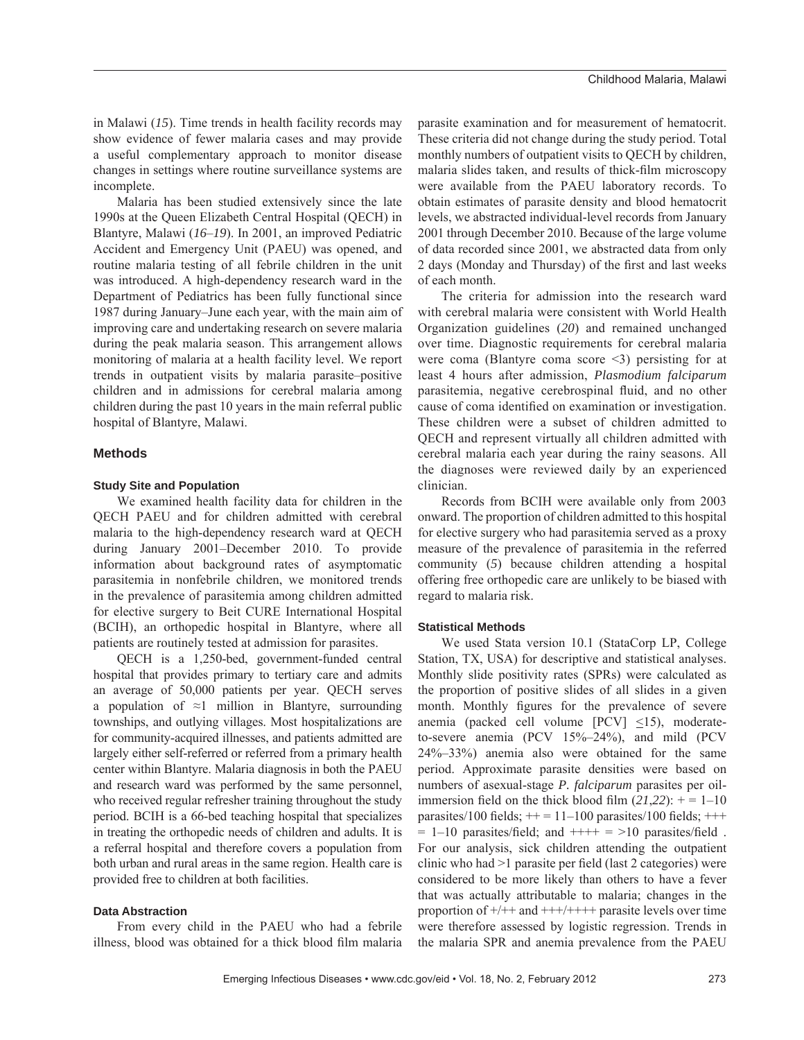in Malawi (*15*). Time trends in health facility records may show evidence of fewer malaria cases and may provide a useful complementary approach to monitor disease changes in settings where routine surveillance systems are incomplete.

Malaria has been studied extensively since the late 1990s at the Queen Elizabeth Central Hospital (QECH) in Blantyre, Malawi (*16*–*19*). In 2001, an improved Pediatric Accident and Emergency Unit (PAEU) was opened, and routine malaria testing of all febrile children in the unit was introduced. A high-dependency research ward in the Department of Pediatrics has been fully functional since 1987 during January–June each year, with the main aim of improving care and undertaking research on severe malaria during the peak malaria season. This arrangement allows monitoring of malaria at a health facility level. We report trends in outpatient visits by malaria parasite–positive children and in admissions for cerebral malaria among children during the past 10 years in the main referral public hospital of Blantyre, Malawi.

# **Methods**

## **Study Site and Population**

We examined health facility data for children in the QECH PAEU and for children admitted with cerebral malaria to the high-dependency research ward at QECH during January 2001–December 2010. To provide information about background rates of asymptomatic parasitemia in nonfebrile children, we monitored trends in the prevalence of parasitemia among children admitted for elective surgery to Beit CURE International Hospital (BCIH), an orthopedic hospital in Blantyre, where all patients are routinely tested at admission for parasites.

QECH is a 1,250-bed, government-funded central hospital that provides primary to tertiary care and admits an average of 50,000 patients per year. QECH serves a population of ≈1 million in Blantyre, surrounding townships, and outlying villages. Most hospitalizations are for community-acquired illnesses, and patients admitted are largely either self-referred or referred from a primary health center within Blantyre. Malaria diagnosis in both the PAEU and research ward was performed by the same personnel, who received regular refresher training throughout the study period. BCIH is a 66-bed teaching hospital that specializes in treating the orthopedic needs of children and adults. It is a referral hospital and therefore covers a population from both urban and rural areas in the same region. Health care is provided free to children at both facilities.

# **Data Abstraction**

From every child in the PAEU who had a febrile illness, blood was obtained for a thick blood film malaria

parasite examination and for measurement of hematocrit. These criteria did not change during the study period. Total monthly numbers of outpatient visits to QECH by children, malaria slides taken, and results of thick-film microscopy were available from the PAEU laboratory records. To obtain estimates of parasite density and blood hematocrit levels, we abstracted individual-level records from January 2001 through December 2010. Because of the large volume of data recorded since 2001, we abstracted data from only 2 days (Monday and Thursday) of the first and last weeks of each month.

The criteria for admission into the research ward with cerebral malaria were consistent with World Health Organization guidelines (*20*) and remained unchanged over time. Diagnostic requirements for cerebral malaria were coma (Blantyre coma score  $\leq$ 3) persisting for at least 4 hours after admission, *Plasmodium falciparum* parasitemia, negative cerebrospinal fluid, and no other cause of coma identified on examination or investigation. These children were a subset of children admitted to QECH and represent virtually all children admitted with cerebral malaria each year during the rainy seasons. All the diagnoses were reviewed daily by an experienced clinician.

Records from BCIH were available only from 2003 onward. The proportion of children admitted to this hospital for elective surgery who had parasitemia served as a proxy measure of the prevalence of parasitemia in the referred community (*5*) because children attending a hospital offering free orthopedic care are unlikely to be biased with regard to malaria risk.

#### **Statistical Methods**

We used Stata version 10.1 (StataCorp LP, College Station, TX, USA) for descriptive and statistical analyses. Monthly slide positivity rates (SPRs) were calculated as the proportion of positive slides of all slides in a given month. Monthly figures for the prevalence of severe anemia (packed cell volume [PCV]  $\leq$ 15), moderateto-severe anemia (PCV 15%–24%), and mild (PCV 24%–33%) anemia also were obtained for the same period. Approximate parasite densities were based on numbers of asexual-stage *P. falciparum* parasites per oilimmersion field on the thick blood film  $(21,22):$  + = 1–10 parasites/100 fields;  $++ = 11-100$  parasites/100 fields;  $+++$  $= 1-10$  parasites/field; and  $+++- = 10$  parasites/field. For our analysis, sick children attending the outpatient clinic who had  $>1$  parasite per field (last 2 categories) were considered to be more likely than others to have a fever that was actually attributable to malaria; changes in the proportion of  $+/++$  and  $+++/++++$  parasite levels over time were therefore assessed by logistic regression. Trends in the malaria SPR and anemia prevalence from the PAEU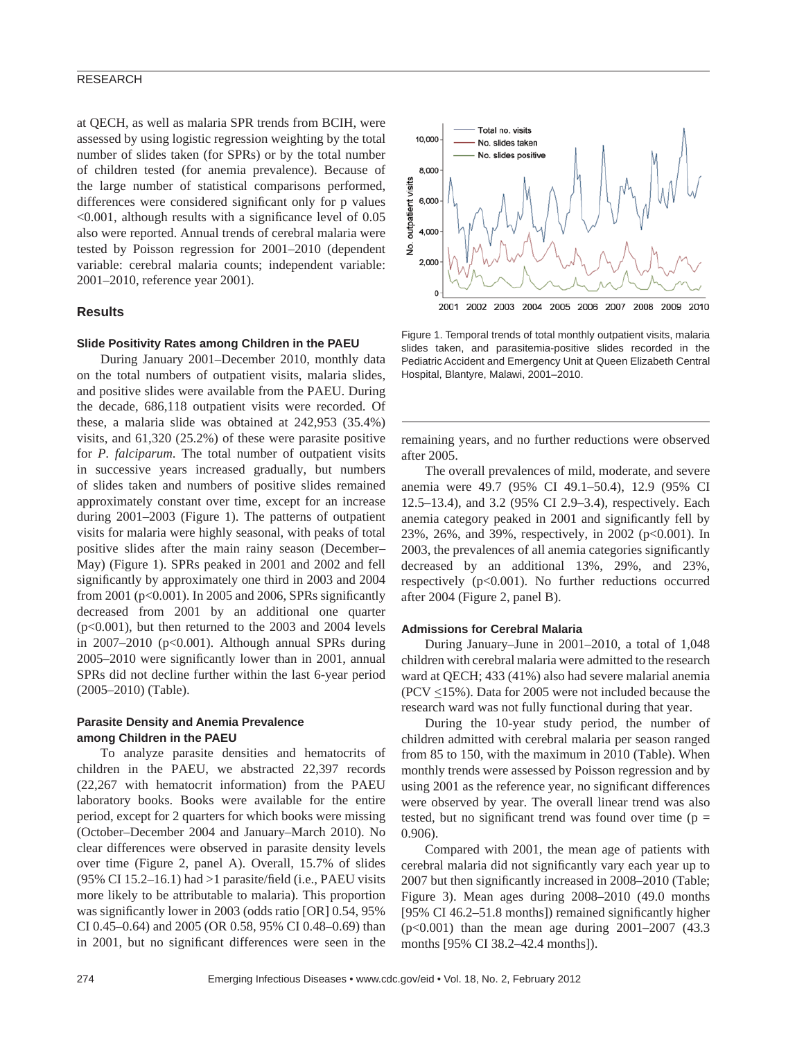# RESEARCH

at QECH, as well as malaria SPR trends from BCIH, were assessed by using logistic regression weighting by the total number of slides taken (for SPRs) or by the total number of children tested (for anemia prevalence). Because of the large number of statistical comparisons performed, differences were considered significant only for p values  $<$ 0.001, although results with a significance level of 0.05 also were reported. Annual trends of cerebral malaria were tested by Poisson regression for 2001–2010 (dependent variable: cerebral malaria counts; independent variable: 2001–2010, reference year 2001).

## **Results**

#### **Slide Positivity Rates among Children in the PAEU**

During January 2001–December 2010, monthly data on the total numbers of outpatient visits, malaria slides, and positive slides were available from the PAEU. During the decade, 686,118 outpatient visits were recorded. Of these, a malaria slide was obtained at 242,953 (35.4%) visits, and 61,320 (25.2%) of these were parasite positive for *P. falciparum*. The total number of outpatient visits in successive years increased gradually, but numbers of slides taken and numbers of positive slides remained approximately constant over time, except for an increase during 2001–2003 (Figure 1). The patterns of outpatient visits for malaria were highly seasonal, with peaks of total positive slides after the main rainy season (December– May) (Figure 1). SPRs peaked in 2001 and 2002 and fell significantly by approximately one third in 2003 and 2004 from 2001 ( $p<0.001$ ). In 2005 and 2006, SPRs significantly decreased from 2001 by an additional one quarter  $(p<0.001)$ , but then returned to the 2003 and 2004 levels in 2007–2010 ( $p<0.001$ ). Although annual SPRs during  $2005-2010$  were significantly lower than in 2001, annual SPRs did not decline further within the last 6-year period (2005–2010) (Table).

# **Parasite Density and Anemia Prevalence among Children in the PAEU**

To analyze parasite densities and hematocrits of children in the PAEU, we abstracted 22,397 records (22,267 with hematocrit information) from the PAEU laboratory books. Books were available for the entire period, except for 2 quarters for which books were missing (October–December 2004 and January–March 2010). No clear differences were observed in parasite density levels over time (Figure 2, panel A). Overall, 15.7% of slides (95% CI 15.2–16.1) had  $>1$  parasite/field (i.e., PAEU visits more likely to be attributable to malaria). This proportion was significantly lower in 2003 (odds ratio [OR] 0.54, 95% CI 0.45–0.64) and 2005 (OR 0.58, 95% CI 0.48–0.69) than in 2001, but no significant differences were seen in the



Figure 1. Temporal trends of total monthly outpatient visits, malaria slides taken, and parasitemia-positive slides recorded in the Pediatric Accident and Emergency Unit at Queen Elizabeth Central Hospital, Blantyre, Malawi, 2001–2010.

remaining years, and no further reductions were observed after 2005.

The overall prevalences of mild, moderate, and severe anemia were 49.7 (95% CI 49.1–50.4), 12.9 (95% CI 12.5–13.4), and 3.2 (95% CI 2.9–3.4), respectively. Each anemia category peaked in 2001 and significantly fell by 23%, 26%, and 39%, respectively, in 2002 (p<0.001). In 2003, the prevalences of all anemia categories significantly decreased by an additional 13%, 29%, and 23%, respectively (p<0.001). No further reductions occurred after 2004 (Figure 2, panel B).

#### **Admissions for Cerebral Malaria**

During January–June in 2001–2010, a total of 1,048 children with cerebral malaria were admitted to the research ward at QECH; 433 (41%) also had severe malarial anemia (PCV  $\leq$ 15%). Data for 2005 were not included because the research ward was not fully functional during that year.

During the 10-year study period, the number of children admitted with cerebral malaria per season ranged from 85 to 150, with the maximum in 2010 (Table). When monthly trends were assessed by Poisson regression and by using 2001 as the reference year, no significant differences were observed by year. The overall linear trend was also tested, but no significant trend was found over time ( $p =$ 0.906).

Compared with 2001, the mean age of patients with cerebral malaria did not significantly vary each year up to 2007 but then significantly increased in 2008–2010 (Table; Figure 3). Mean ages during 2008–2010 (49.0 months  $[95\% \text{ CI } 46.2 - 51.8 \text{ months}]$  remained significantly higher (p<0.001) than the mean age during 2001–2007 (43.3 months [95% CI 38.2–42.4 months]).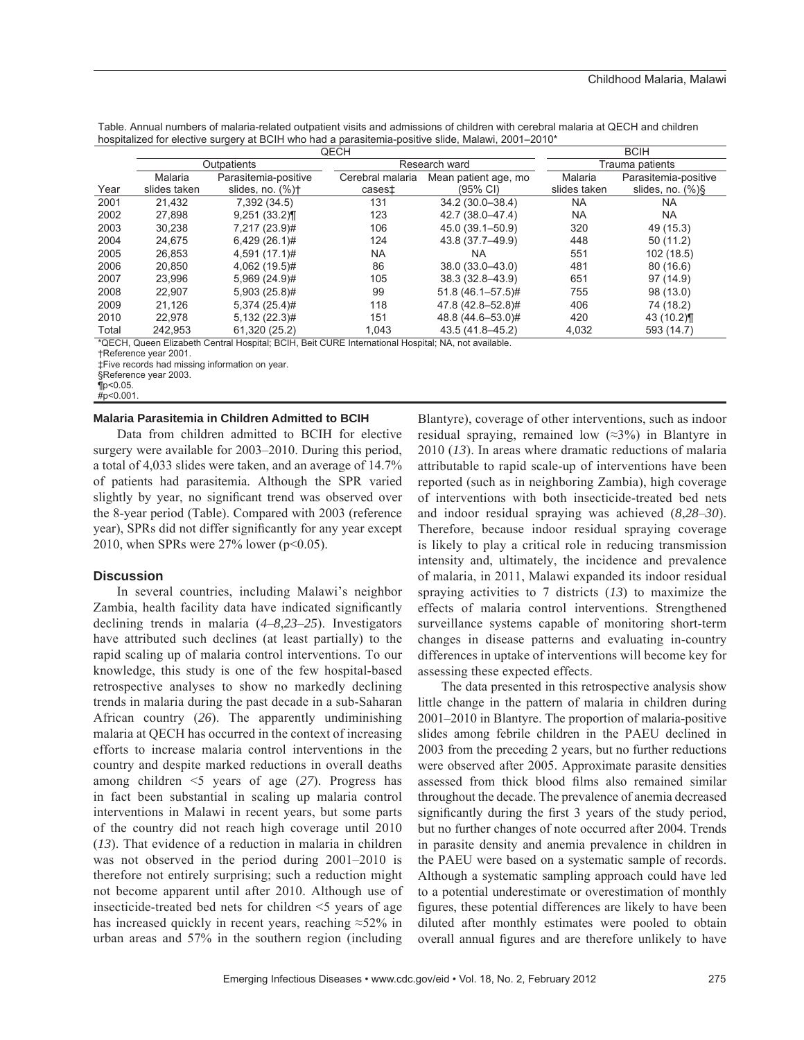| Table. Annual numbers of malaria-related outpatient visits and admissions of children with cerebral malaria at QECH and children |
|----------------------------------------------------------------------------------------------------------------------------------|
| hospitalized for elective surgery at BCIH who had a parasitemia-positive slide, Malawi, 2001–2010*                               |

|       | QECH         |                                  |                    |                      | <b>BCIH</b>     |                      |
|-------|--------------|----------------------------------|--------------------|----------------------|-----------------|----------------------|
|       | Outpatients  |                                  | Research ward      |                      | Trauma patients |                      |
|       | Malaria      | Parasitemia-positive             | Cerebral malaria   | Mean patient age, mo | Malaria         | Parasitemia-positive |
| Year  | slides taken | slides, no. $(\% )$ <sup>+</sup> | cases <sup>±</sup> | (95% CI)             | slides taken    | slides, no. $(\%)\$  |
| 2001  | 21,432       | 7,392 (34.5)                     | 131                | $34.2(30.0 - 38.4)$  | NA              | <b>NA</b>            |
| 2002  | 27,898       | 9,251(33.2)                      | 123                | 42.7 (38.0–47.4)     | <b>NA</b>       | <b>NA</b>            |
| 2003  | 30,238       | 7,217 (23.9)#                    | 106                | 45.0 (39.1-50.9)     | 320             | 49 (15.3)            |
| 2004  | 24.675       | $6,429(26.1)$ #                  | 124                | 43.8 (37.7-49.9)     | 448             | 50(11.2)             |
| 2005  | 26,853       | 4,591 (17.1)#                    | <b>NA</b>          | NA.                  | 551             | 102 (18.5)           |
| 2006  | 20.850       | 4,062 (19.5)#                    | 86                 | 38.0 (33.0–43.0)     | 481             | 80(16.6)             |
| 2007  | 23,996       | 5,969 (24.9)#                    | 105                | 38.3 (32.8–43.9)     | 651             | 97 (14.9)            |
| 2008  | 22,907       | 5,903 (25.8)#                    | 99                 | 51.8 (46.1-57.5)#    | 755             | 98 (13.0)            |
| 2009  | 21.126       | $5,374(25.4)$ #                  | 118                | 47.8 (42.8-52.8)#    | 406             | 74 (18.2)            |
| 2010  | 22,978       | $5,132(22.3)$ #                  | 151                | 48.8 (44.6-53.0)#    | 420             | 43 (10.2)¶           |
| Total | 242,953      | 61,320 (25.2)                    | 1.043              | 43.5 (41.8–45.2)     | 4,032           | 593 (14.7)           |

\*QECH, Queen Elizabeth Central Hospital; BCIH, Beit CURE International Hospital; NA, not available.

†Reference year 2001.

‡Five records had missing information on year. §Reference year 2003.

¶p<0.05.

 $#p < 0.001$ 

#### **Malaria Parasitemia in Children Admitted to BCIH**

Data from children admitted to BCIH for elective surgery were available for 2003–2010. During this period, a total of 4,033 slides were taken, and an average of 14.7% of patients had parasitemia. Although the SPR varied slightly by year, no significant trend was observed over the 8-year period (Table). Compared with 2003 (reference year), SPRs did not differ significantly for any year except 2010, when SPRs were  $27\%$  lower (p<0.05).

# **Discussion**

In several countries, including Malawi's neighbor Zambia, health facility data have indicated significantly declining trends in malaria (*4*–*8*,*23*–*25*). Investigators have attributed such declines (at least partially) to the rapid scaling up of malaria control interventions. To our knowledge, this study is one of the few hospital-based retrospective analyses to show no markedly declining trends in malaria during the past decade in a sub-Saharan African country (*26*). The apparently undiminishing malaria at QECH has occurred in the context of increasing efforts to increase malaria control interventions in the country and despite marked reductions in overall deaths among children <5 years of age (*27*). Progress has in fact been substantial in scaling up malaria control interventions in Malawi in recent years, but some parts of the country did not reach high coverage until 2010 (*13*). That evidence of a reduction in malaria in children was not observed in the period during 2001–2010 is therefore not entirely surprising; such a reduction might not become apparent until after 2010. Although use of insecticide-treated bed nets for children <5 years of age has increased quickly in recent years, reaching ≈52% in urban areas and 57% in the southern region (including

Blantyre), coverage of other interventions, such as indoor residual spraying, remained low (≈3%) in Blantyre in 2010 (*13*). In areas where dramatic reductions of malaria attributable to rapid scale-up of interventions have been reported (such as in neighboring Zambia), high coverage of interventions with both insecticide-treated bed nets and indoor residual spraying was achieved (*8*,*28*–*30*). Therefore, because indoor residual spraying coverage is likely to play a critical role in reducing transmission intensity and, ultimately, the incidence and prevalence of malaria, in 2011, Malawi expanded its indoor residual spraying activities to 7 districts (*13*) to maximize the effects of malaria control interventions. Strengthened surveillance systems capable of monitoring short-term changes in disease patterns and evaluating in-country differences in uptake of interventions will become key for assessing these expected effects.

The data presented in this retrospective analysis show little change in the pattern of malaria in children during 2001–2010 in Blantyre. The proportion of malaria-positive slides among febrile children in the PAEU declined in 2003 from the preceding 2 years, but no further reductions were observed after 2005. Approximate parasite densities assessed from thick blood films also remained similar throughout the decade. The prevalence of anemia decreased significantly during the first 3 years of the study period, but no further changes of note occurred after 2004. Trends in parasite density and anemia prevalence in children in the PAEU were based on a systematic sample of records. Although a systematic sampling approach could have led to a potential underestimate or overestimation of monthly figures, these potential differences are likely to have been diluted after monthly estimates were pooled to obtain overall annual figures and are therefore unlikely to have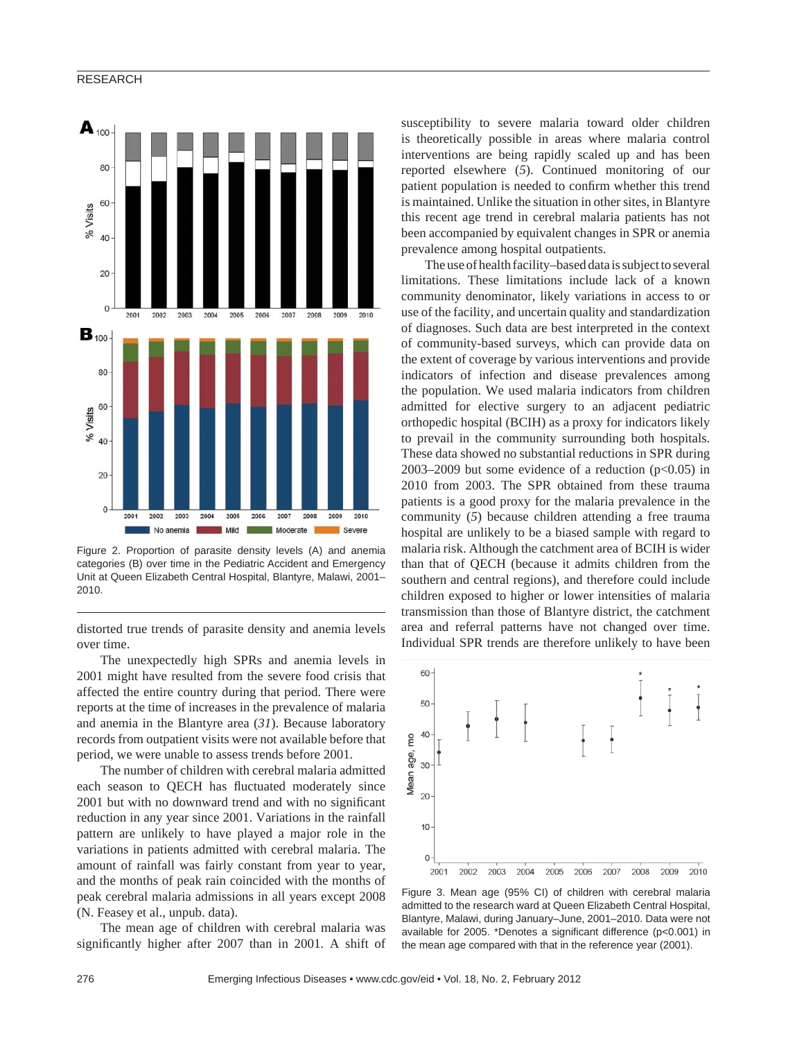# RESEARCH



Figure 2. Proportion of parasite density levels (A) and anemia categories (B) over time in the Pediatric Accident and Emergency Unit at Queen Elizabeth Central Hospital, Blantyre, Malawi, 2001– 2010.

distorted true trends of parasite density and anemia levels over time.

The unexpectedly high SPRs and anemia levels in 2001 might have resulted from the severe food crisis that affected the entire country during that period. There were reports at the time of increases in the prevalence of malaria and anemia in the Blantyre area (*31*). Because laboratory records from outpatient visits were not available before that period, we were unable to assess trends before 2001.

The number of children with cerebral malaria admitted each season to QECH has fluctuated moderately since 2001 but with no downward trend and with no significant reduction in any year since 2001. Variations in the rainfall pattern are unlikely to have played a major role in the variations in patients admitted with cerebral malaria. The amount of rainfall was fairly constant from year to year, and the months of peak rain coincided with the months of peak cerebral malaria admissions in all years except 2008 (N. Feasey et al., unpub. data).

The mean age of children with cerebral malaria was significantly higher after 2007 than in 2001. A shift of

susceptibility to severe malaria toward older children is theoretically possible in areas where malaria control interventions are being rapidly scaled up and has been reported elsewhere (*5*). Continued monitoring of our patient population is needed to confirm whether this trend is maintained. Unlike the situation in other sites, in Blantyre this recent age trend in cerebral malaria patients has not been accompanied by equivalent changes in SPR or anemia prevalence among hospital outpatients.

The use of health facility–based data is subject to several limitations. These limitations include lack of a known community denominator, likely variations in access to or use of the facility, and uncertain quality and standardization of diagnoses. Such data are best interpreted in the context of community-based surveys, which can provide data on the extent of coverage by various interventions and provide indicators of infection and disease prevalences among the population. We used malaria indicators from children admitted for elective surgery to an adjacent pediatric orthopedic hospital (BCIH) as a proxy for indicators likely to prevail in the community surrounding both hospitals. These data showed no substantial reductions in SPR during 2003–2009 but some evidence of a reduction  $(p<0.05)$  in 2010 from 2003. The SPR obtained from these trauma patients is a good proxy for the malaria prevalence in the community (*5*) because children attending a free trauma hospital are unlikely to be a biased sample with regard to malaria risk. Although the catchment area of BCIH is wider than that of QECH (because it admits children from the southern and central regions), and therefore could include children exposed to higher or lower intensities of malaria transmission than those of Blantyre district, the catchment area and referral patterns have not changed over time. Individual SPR trends are therefore unlikely to have been



Figure 3. Mean age (95% CI) of children with cerebral malaria admitted to the research ward at Queen Elizabeth Central Hospital, Blantyre, Malawi, during January–June, 2001–2010. Data were not available for 2005. \*Denotes a significant difference (p<0.001) in the mean age compared with that in the reference year (2001).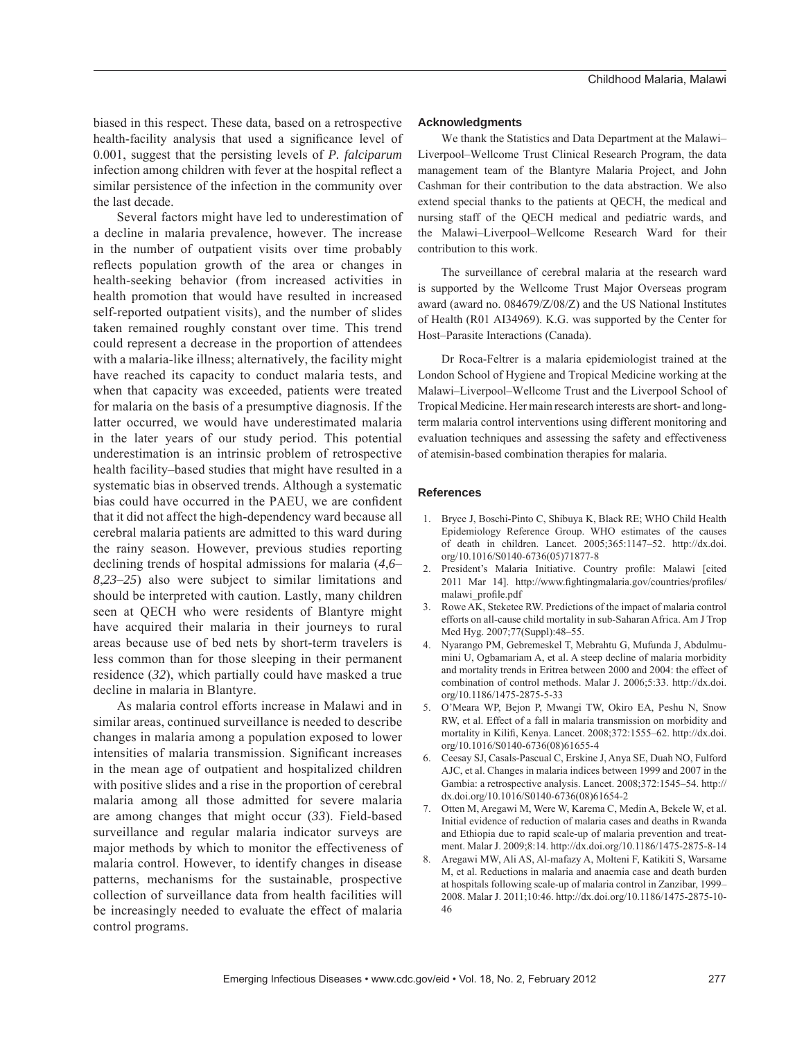biased in this respect. These data, based on a retrospective health-facility analysis that used a significance level of 0.001, suggest that the persisting levels of *P. falciparum* infection among children with fever at the hospital reflect a similar persistence of the infection in the community over the last decade.

Several factors might have led to underestimation of a decline in malaria prevalence, however. The increase in the number of outpatient visits over time probably reflects population growth of the area or changes in health-seeking behavior (from increased activities in health promotion that would have resulted in increased self-reported outpatient visits), and the number of slides taken remained roughly constant over time. This trend could represent a decrease in the proportion of attendees with a malaria-like illness; alternatively, the facility might have reached its capacity to conduct malaria tests, and when that capacity was exceeded, patients were treated for malaria on the basis of a presumptive diagnosis. If the latter occurred, we would have underestimated malaria in the later years of our study period. This potential underestimation is an intrinsic problem of retrospective health facility–based studies that might have resulted in a systematic bias in observed trends. Although a systematic bias could have occurred in the PAEU, we are confident that it did not affect the high-dependency ward because all cerebral malaria patients are admitted to this ward during the rainy season. However, previous studies reporting declining trends of hospital admissions for malaria (*4*,*6*– *8*,*23*–*25*) also were subject to similar limitations and should be interpreted with caution. Lastly, many children seen at QECH who were residents of Blantyre might have acquired their malaria in their journeys to rural areas because use of bed nets by short-term travelers is less common than for those sleeping in their permanent residence (*32*), which partially could have masked a true decline in malaria in Blantyre.

As malaria control efforts increase in Malawi and in similar areas, continued surveillance is needed to describe changes in malaria among a population exposed to lower intensities of malaria transmission. Significant increases in the mean age of outpatient and hospitalized children with positive slides and a rise in the proportion of cerebral malaria among all those admitted for severe malaria are among changes that might occur (*33*). Field-based surveillance and regular malaria indicator surveys are major methods by which to monitor the effectiveness of malaria control. However, to identify changes in disease patterns, mechanisms for the sustainable, prospective collection of surveillance data from health facilities will be increasingly needed to evaluate the effect of malaria control programs.

#### **Acknowledgments**

We thank the Statistics and Data Department at the Malawi– Liverpool–Wellcome Trust Clinical Research Program, the data management team of the Blantyre Malaria Project, and John Cashman for their contribution to the data abstraction. We also extend special thanks to the patients at QECH, the medical and nursing staff of the QECH medical and pediatric wards, and the Malawi–Liverpool–Wellcome Research Ward for their contribution to this work.

The surveillance of cerebral malaria at the research ward is supported by the Wellcome Trust Major Overseas program award (award no. 084679/Z/08/Z) and the US National Institutes of Health (R01 AI34969). K.G. was supported by the Center for Host–Parasite Interactions (Canada).

Dr Roca-Feltrer is a malaria epidemiologist trained at the London School of Hygiene and Tropical Medicine working at the Malawi–Liverpool–Wellcome Trust and the Liverpool School of Tropical Medicine. Her main research interests are short- and longterm malaria control interventions using different monitoring and evaluation techniques and assessing the safety and effectiveness of atemisin-based combination therapies for malaria.

#### **References**

- 1. Bryce J, Boschi-Pinto C, Shibuya K, Black RE; WHO Child Health Epidemiology Reference Group. WHO estimates of the causes of death in children. Lancet. 2005;365:1147–52. http://dx.doi. org/10.1016/S0140-6736(05)71877-8
- 2. President's Malaria Initiative. Country profile: Malawi [cited 2011 Mar 14]. http://www.fightingmalaria.gov/countries/profiles/ malawi profile.pdf
- 3. Rowe AK, Steketee RW. Predictions of the impact of malaria control efforts on all-cause child mortality in sub-Saharan Africa. Am J Trop Med Hyg. 2007;77(Suppl):48–55.
- 4. Nyarango PM, Gebremeskel T, Mebrahtu G, Mufunda J, Abdulmumini U, Ogbamariam A, et al. A steep decline of malaria morbidity and mortality trends in Eritrea between 2000 and 2004: the effect of combination of control methods. Malar J. 2006;5:33. http://dx.doi. org/10.1186/1475-2875-5-33
- 5. O'Meara WP, Bejon P, Mwangi TW, Okiro EA, Peshu N, Snow RW, et al. Effect of a fall in malaria transmission on morbidity and mortality in Kilifi, Kenya. Lancet. 2008;372:1555-62. http://dx.doi. org/10.1016/S0140-6736(08)61655-4
- 6. Ceesay SJ, Casals-Pascual C, Erskine J, Anya SE, Duah NO, Fulford AJC, et al. Changes in malaria indices between 1999 and 2007 in the Gambia: a retrospective analysis. Lancet. 2008;372:1545–54. http:// dx.doi.org/10.1016/S0140-6736(08)61654-2
- 7. Otten M, Aregawi M, Were W, Karema C, Medin A, Bekele W, et al. Initial evidence of reduction of malaria cases and deaths in Rwanda and Ethiopia due to rapid scale-up of malaria prevention and treatment. Malar J. 2009;8:14. http://dx.doi.org/10.1186/1475-2875-8-14
- 8. Aregawi MW, Ali AS, Al-mafazy A, Molteni F, Katikiti S, Warsame M, et al. Reductions in malaria and anaemia case and death burden at hospitals following scale-up of malaria control in Zanzibar, 1999– 2008. Malar J. 2011;10:46. http://dx.doi.org/10.1186/1475-2875-10- 46